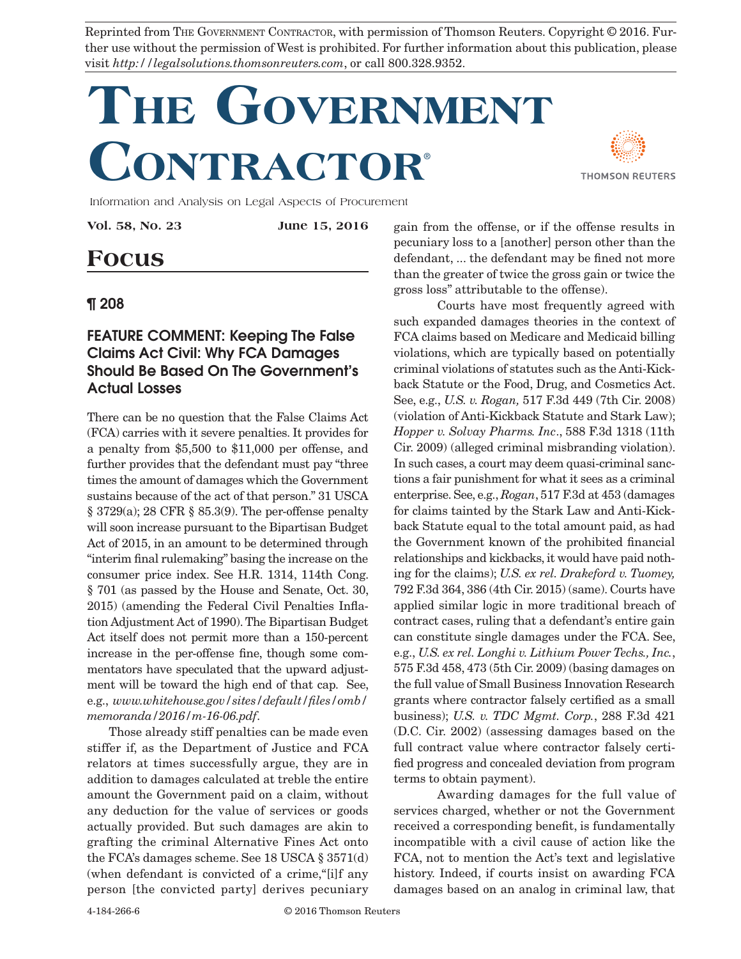Reprinted from THE GOVERNMENT CONTRACTOR, with permission of Thomson Reuters. Copyright © 2016. Further use without the permission of West is prohibited. For further information about this publication, please visit *http://legalsolutions.thomsonreuters.com*, or call 800.328.9352.

## **The Government Contractor**®



Information and Analysis on Legal Aspects of Procurement

**Vol. 58, No. 23 June 15, 2016**

## **Focus**

## ¶ 208

## FEATURE COMMENT: Keeping The False Claims Act Civil: Why FCA Damages Should Be Based On The Government's Actual Losses

There can be no question that the False Claims Act (FCA) carries with it severe penalties. It provides for a penalty from \$5,500 to \$11,000 per offense, and further provides that the defendant must pay "three times the amount of damages which the Government sustains because of the act of that person." 31 USCA § 3729(a); 28 CFR § 85.3(9). The per-offense penalty will soon increase pursuant to the Bipartisan Budget Act of 2015, in an amount to be determined through "interim final rulemaking" basing the increase on the consumer price index. See H.R. 1314, 114th Cong. § 701 (as passed by the House and Senate, Oct. 30, 2015) (amending the Federal Civil Penalties Inflation Adjustment Act of 1990). The Bipartisan Budget Act itself does not permit more than a 150-percent increase in the per-offense fine, though some commentators have speculated that the upward adjustment will be toward the high end of that cap. See, e.g., *www.whitehouse.gov/sites/default/files/omb/ memoranda/2016/m-16-06.pdf*.

Those already stiff penalties can be made even stiffer if, as the Department of Justice and FCA relators at times successfully argue, they are in addition to damages calculated at treble the entire amount the Government paid on a claim, without any deduction for the value of services or goods actually provided. But such damages are akin to grafting the criminal Alternative Fines Act onto the FCA's damages scheme. See 18 USCA § 3571(d) (when defendant is convicted of a crime,"[i]f any person [the convicted party] derives pecuniary

gain from the offense, or if the offense results in pecuniary loss to a [another] person other than the defendant, ... the defendant may be fined not more than the greater of twice the gross gain or twice the gross loss" attributable to the offense).

Courts have most frequently agreed with such expanded damages theories in the context of FCA claims based on Medicare and Medicaid billing violations, which are typically based on potentially criminal violations of statutes such as the Anti-Kickback Statute or the Food, Drug, and Cosmetics Act. See, e.g., *U.S. v. Rogan,* 517 F.3d 449 (7th Cir. 2008) (violation of Anti-Kickback Statute and Stark Law); *Hopper v. Solvay Pharms. Inc*., 588 F.3d 1318 (11th Cir. 2009) (alleged criminal misbranding violation). In such cases, a court may deem quasi-criminal sanctions a fair punishment for what it sees as a criminal enterprise. See, e.g., *Rogan*, 517 F.3d at 453 (damages for claims tainted by the Stark Law and Anti-Kickback Statute equal to the total amount paid, as had the Government known of the prohibited financial relationships and kickbacks, it would have paid nothing for the claims); *U.S. ex rel. Drakeford v. Tuomey,*  792 F.3d 364, 386 (4th Cir. 2015) (same). Courts have applied similar logic in more traditional breach of contract cases, ruling that a defendant's entire gain can constitute single damages under the FCA. See, e.g., *U.S. ex rel. Longhi v. Lithium Power Techs., Inc.*, 575 F.3d 458, 473 (5th Cir. 2009) (basing damages on the full value of Small Business Innovation Research grants where contractor falsely certified as a small business); *U.S. v. TDC Mgmt. Corp.*, 288 F.3d 421 (D.C. Cir. 2002) (assessing damages based on the full contract value where contractor falsely certified progress and concealed deviation from program terms to obtain payment).

Awarding damages for the full value of services charged, whether or not the Government received a corresponding benefit, is fundamentally incompatible with a civil cause of action like the FCA, not to mention the Act's text and legislative history. Indeed, if courts insist on awarding FCA damages based on an analog in criminal law, that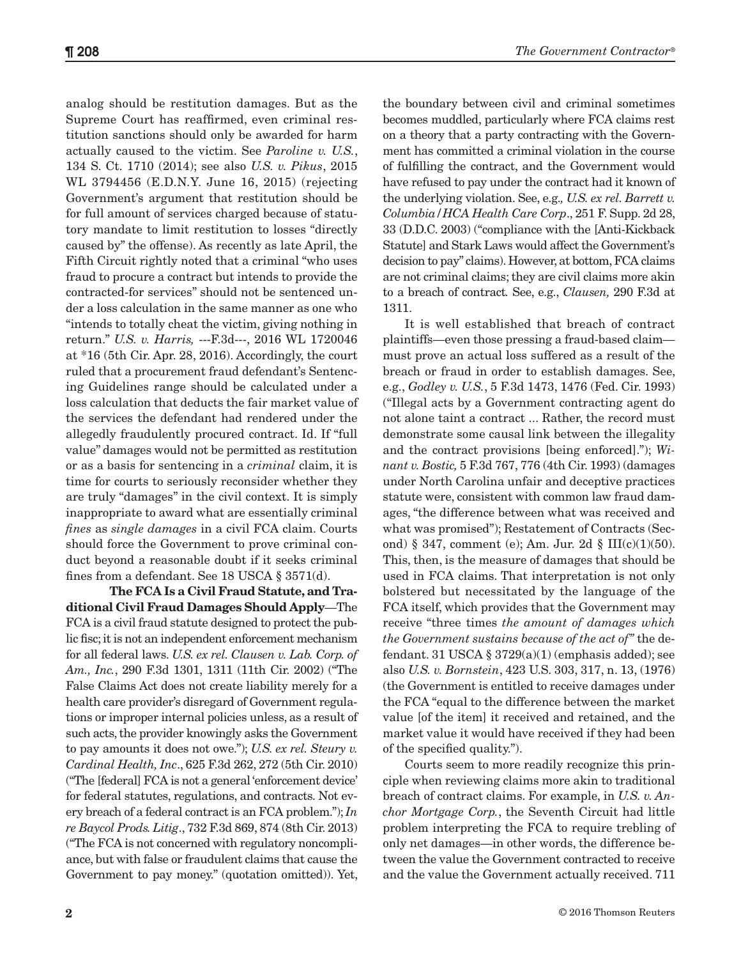analog should be restitution damages. But as the Supreme Court has reaffirmed, even criminal restitution sanctions should only be awarded for harm actually caused to the victim. See *Paroline v. U.S.*, 134 S. Ct. 1710 (2014); see also *U.S. v. Pikus*, 2015 WL 3794456 (E.D.N.Y. June 16, 2015) (rejecting Government's argument that restitution should be for full amount of services charged because of statutory mandate to limit restitution to losses "directly caused by" the offense). As recently as late April, the Fifth Circuit rightly noted that a criminal "who uses fraud to procure a contract but intends to provide the contracted-for services" should not be sentenced under a loss calculation in the same manner as one who "intends to totally cheat the victim, giving nothing in return." *U.S. v. Harris,* ---F.3d---, 2016 WL 1720046 at \*16 (5th Cir. Apr. 28, 2016). Accordingly, the court ruled that a procurement fraud defendant's Sentencing Guidelines range should be calculated under a loss calculation that deducts the fair market value of the services the defendant had rendered under the allegedly fraudulently procured contract. Id. If "full value" damages would not be permitted as restitution or as a basis for sentencing in a *criminal* claim, it is time for courts to seriously reconsider whether they are truly "damages" in the civil context. It is simply inappropriate to award what are essentially criminal *fines* as *single damages* in a civil FCA claim. Courts should force the Government to prove criminal conduct beyond a reasonable doubt if it seeks criminal fines from a defendant. See 18 USCA § 3571(d).

**The FCA Is a Civil Fraud Statute, and Traditional Civil Fraud Damages Should Apply**—The FCA is a civil fraud statute designed to protect the public fisc; it is not an independent enforcement mechanism for all federal laws. *U.S. ex rel. Clausen v. Lab. Corp. of Am., Inc.*, 290 F.3d 1301, 1311 (11th Cir. 2002) ("The False Claims Act does not create liability merely for a health care provider's disregard of Government regulations or improper internal policies unless, as a result of such acts, the provider knowingly asks the Government to pay amounts it does not owe."); *U.S. ex rel. Steury v. Cardinal Health, Inc*., 625 F.3d 262, 272 (5th Cir. 2010) ("The [federal] FCA is not a general 'enforcement device' for federal statutes, regulations, and contracts. Not every breach of a federal contract is an FCA problem."); *In re Baycol Prods. Litig*., 732 F.3d 869, 874 (8th Cir. 2013) ("The FCA is not concerned with regulatory noncompliance, but with false or fraudulent claims that cause the Government to pay money." (quotation omitted)). Yet,

the boundary between civil and criminal sometimes becomes muddled, particularly where FCA claims rest on a theory that a party contracting with the Government has committed a criminal violation in the course of fulfilling the contract, and the Government would have refused to pay under the contract had it known of the underlying violation. See, e.g.*, U.S. ex rel. Barrett v. Columbia/HCA Health Care Corp*., 251 F. Supp. 2d 28, 33 (D.D.C. 2003) ("compliance with the [Anti-Kickback Statute] and Stark Laws would affect the Government's decision to pay" claims). However, at bottom, FCA claims are not criminal claims; they are civil claims more akin to a breach of contract*.* See, e.g., *Clausen,* 290 F.3d at 1311.

It is well established that breach of contract plaintiffs—even those pressing a fraud-based claim must prove an actual loss suffered as a result of the breach or fraud in order to establish damages. See, e.g., *Godley v. U.S.*, 5 F.3d 1473, 1476 (Fed. Cir. 1993) ("Illegal acts by a Government contracting agent do not alone taint a contract ... Rather, the record must demonstrate some causal link between the illegality and the contract provisions [being enforced]."); *Winant v. Bostic,* 5 F.3d 767, 776 (4th Cir. 1993) (damages under North Carolina unfair and deceptive practices statute were, consistent with common law fraud damages, "the difference between what was received and what was promised"); Restatement of Contracts (Second) § 347, comment (e); Am. Jur. 2d § III(c)(1)(50). This, then, is the measure of damages that should be used in FCA claims. That interpretation is not only bolstered but necessitated by the language of the FCA itself, which provides that the Government may receive "three times *the amount of damages which the Government sustains because of the act of"* the defendant. 31 USCA  $\S 3729(a)(1)$  (emphasis added); see also *U.S. v. Bornstein*, 423 U.S. 303, 317, n. 13, (1976) (the Government is entitled to receive damages under the FCA "equal to the difference between the market value [of the item] it received and retained, and the market value it would have received if they had been of the specified quality.").

Courts seem to more readily recognize this principle when reviewing claims more akin to traditional breach of contract claims. For example, in *U.S. v. Anchor Mortgage Corp.*, the Seventh Circuit had little problem interpreting the FCA to require trebling of only net damages—in other words, the difference between the value the Government contracted to receive and the value the Government actually received. 711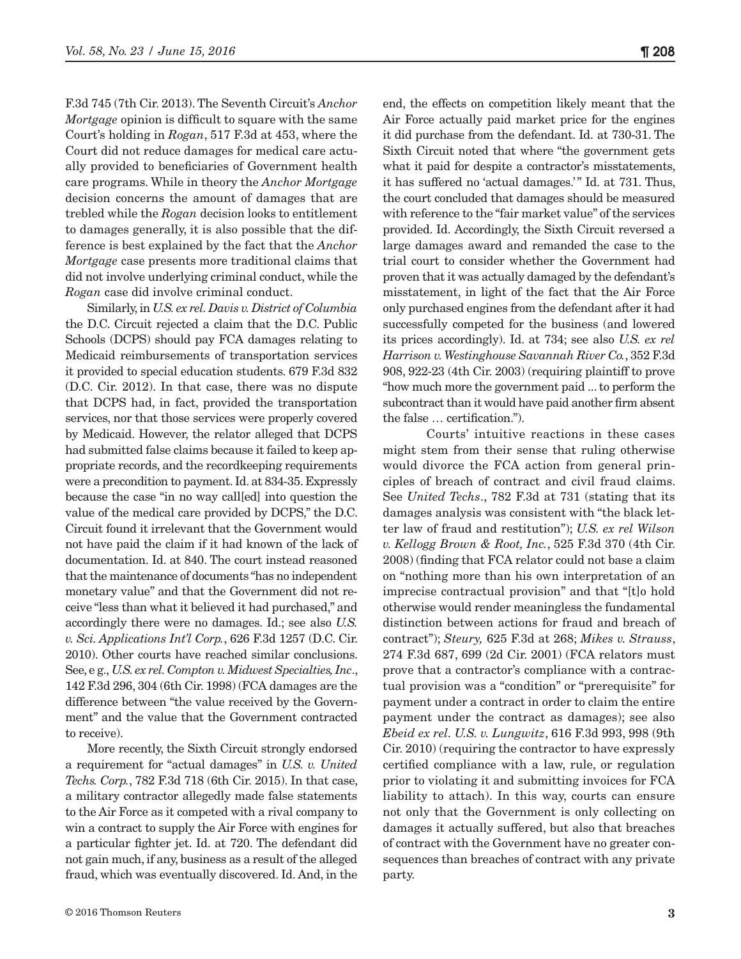F.3d 745 (7th Cir. 2013). The Seventh Circuit's *Anchor Mortgage* opinion is difficult to square with the same Court's holding in *Rogan*, 517 F.3d at 453, where the Court did not reduce damages for medical care actually provided to beneficiaries of Government health care programs. While in theory the *Anchor Mortgage* decision concerns the amount of damages that are trebled while the *Rogan* decision looks to entitlement to damages generally, it is also possible that the difference is best explained by the fact that the *Anchor Mortgage* case presents more traditional claims that did not involve underlying criminal conduct, while the *Rogan* case did involve criminal conduct.

Similarly, in *U.S. ex rel. Davis v. District of Columbia* the D.C. Circuit rejected a claim that the D.C. Public Schools (DCPS) should pay FCA damages relating to Medicaid reimbursements of transportation services it provided to special education students. 679 F.3d 832 (D.C. Cir. 2012). In that case, there was no dispute that DCPS had, in fact, provided the transportation services, nor that those services were properly covered by Medicaid. However, the relator alleged that DCPS had submitted false claims because it failed to keep appropriate records, and the recordkeeping requirements were a precondition to payment. Id. at 834-35. Expressly because the case "in no way call[ed] into question the value of the medical care provided by DCPS," the D.C. Circuit found it irrelevant that the Government would not have paid the claim if it had known of the lack of documentation. Id. at 840. The court instead reasoned that the maintenance of documents "has no independent monetary value" and that the Government did not receive "less than what it believed it had purchased," and accordingly there were no damages. Id.; see also *U.S. v. Sci. Applications Int'l Corp.*, 626 F.3d 1257 (D.C. Cir. 2010). Other courts have reached similar conclusions. See, e g., *U.S. ex rel. Compton v. Midwest Specialties, Inc*., 142 F.3d 296, 304 (6th Cir. 1998) (FCA damages are the difference between "the value received by the Government" and the value that the Government contracted to receive).

More recently, the Sixth Circuit strongly endorsed a requirement for "actual damages" in *U.S. v. United Techs. Corp.*, 782 F.3d 718 (6th Cir. 2015). In that case, a military contractor allegedly made false statements to the Air Force as it competed with a rival company to win a contract to supply the Air Force with engines for a particular fighter jet. Id. at 720. The defendant did not gain much, if any, business as a result of the alleged fraud, which was eventually discovered. Id. And, in the end, the effects on competition likely meant that the Air Force actually paid market price for the engines it did purchase from the defendant. Id. at 730-31. The Sixth Circuit noted that where "the government gets what it paid for despite a contractor's misstatements, it has suffered no 'actual damages.'" Id. at 731. Thus, the court concluded that damages should be measured with reference to the "fair market value" of the services provided. Id. Accordingly, the Sixth Circuit reversed a large damages award and remanded the case to the trial court to consider whether the Government had proven that it was actually damaged by the defendant's misstatement, in light of the fact that the Air Force only purchased engines from the defendant after it had successfully competed for the business (and lowered its prices accordingly). Id. at 734; see also *U.S. ex rel Harrison v. Westinghouse Savannah River Co.*, 352 F.3d 908, 922-23 (4th Cir. 2003) (requiring plaintiff to prove "how much more the government paid ... to perform the subcontract than it would have paid another firm absent the false … certification.").

Courts' intuitive reactions in these cases might stem from their sense that ruling otherwise would divorce the FCA action from general principles of breach of contract and civil fraud claims. See *United Techs*., 782 F.3d at 731 (stating that its damages analysis was consistent with "the black letter law of fraud and restitution"); *U.S. ex rel Wilson v. Kellogg Brown & Root, Inc.*, 525 F.3d 370 (4th Cir. 2008) (finding that FCA relator could not base a claim on "nothing more than his own interpretation of an imprecise contractual provision" and that "[t]o hold otherwise would render meaningless the fundamental distinction between actions for fraud and breach of contract"); *Steury,* 625 F.3d at 268; *Mikes v. Strauss*, 274 F.3d 687, 699 (2d Cir. 2001) (FCA relators must prove that a contractor's compliance with a contractual provision was a "condition" or "prerequisite" for payment under a contract in order to claim the entire payment under the contract as damages); see also *Ebeid ex rel. U.S. v. Lungwitz*, 616 F.3d 993, 998 (9th Cir. 2010) (requiring the contractor to have expressly certified compliance with a law, rule, or regulation prior to violating it and submitting invoices for FCA liability to attach). In this way, courts can ensure not only that the Government is only collecting on damages it actually suffered, but also that breaches of contract with the Government have no greater consequences than breaches of contract with any private party.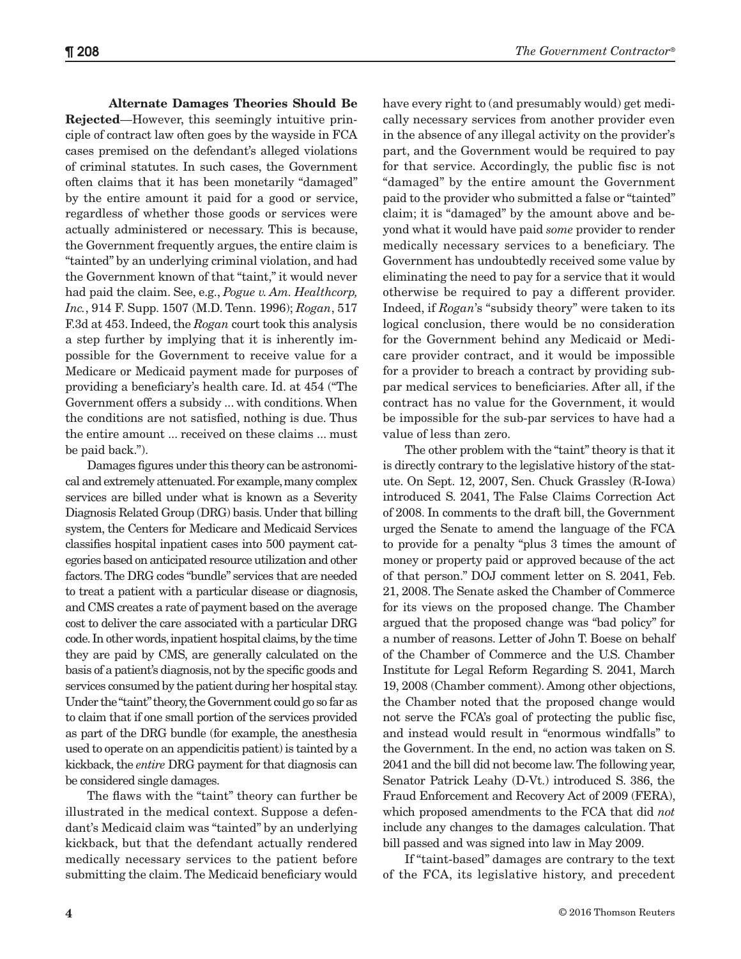**Alternate Damages Theories Should Be Rejected**—However, this seemingly intuitive principle of contract law often goes by the wayside in FCA cases premised on the defendant's alleged violations of criminal statutes. In such cases, the Government often claims that it has been monetarily "damaged" by the entire amount it paid for a good or service, regardless of whether those goods or services were actually administered or necessary. This is because, the Government frequently argues, the entire claim is "tainted" by an underlying criminal violation, and had the Government known of that "taint," it would never had paid the claim. See, e.g., *Pogue v. Am. Healthcorp, Inc.*, 914 F. Supp. 1507 (M.D. Tenn. 1996); *Rogan*, 517 F.3d at 453. Indeed, the *Rogan* court took this analysis a step further by implying that it is inherently impossible for the Government to receive value for a Medicare or Medicaid payment made for purposes of providing a beneficiary's health care. Id. at 454 ("The Government offers a subsidy ... with conditions. When the conditions are not satisfied, nothing is due. Thus the entire amount ... received on these claims ... must be paid back.").

Damages figures under this theory can be astronomical and extremely attenuated. For example, many complex services are billed under what is known as a Severity Diagnosis Related Group (DRG) basis. Under that billing system, the Centers for Medicare and Medicaid Services classifies hospital inpatient cases into 500 payment categories based on anticipated resource utilization and other factors. The DRG codes "bundle" services that are needed to treat a patient with a particular disease or diagnosis, and CMS creates a rate of payment based on the average cost to deliver the care associated with a particular DRG code. In other words, inpatient hospital claims, by the time they are paid by CMS, are generally calculated on the basis of a patient's diagnosis, not by the specific goods and services consumed by the patient during her hospital stay. Under the "taint" theory, the Government could go so far as to claim that if one small portion of the services provided as part of the DRG bundle (for example, the anesthesia used to operate on an appendicitis patient) is tainted by a kickback, the *entire* DRG payment for that diagnosis can be considered single damages.

The flaws with the "taint" theory can further be illustrated in the medical context. Suppose a defendant's Medicaid claim was "tainted" by an underlying kickback, but that the defendant actually rendered medically necessary services to the patient before submitting the claim. The Medicaid beneficiary would have every right to (and presumably would) get medically necessary services from another provider even in the absence of any illegal activity on the provider's part, and the Government would be required to pay for that service. Accordingly, the public fisc is not "damaged" by the entire amount the Government paid to the provider who submitted a false or "tainted" claim; it is "damaged" by the amount above and beyond what it would have paid *some* provider to render medically necessary services to a beneficiary. The Government has undoubtedly received some value by eliminating the need to pay for a service that it would otherwise be required to pay a different provider. Indeed, if *Rogan*'s "subsidy theory" were taken to its logical conclusion, there would be no consideration for the Government behind any Medicaid or Medicare provider contract, and it would be impossible for a provider to breach a contract by providing subpar medical services to beneficiaries. After all, if the contract has no value for the Government, it would be impossible for the sub-par services to have had a value of less than zero. The other problem with the "taint" theory is that it

is directly contrary to the legislative history of the statute. On Sept. 12, 2007, Sen. Chuck Grassley (R-Iowa) introduced S. 2041, The False Claims Correction Act of 2008. In comments to the draft bill, the Government urged the Senate to amend the language of the FCA to provide for a penalty "plus 3 times the amount of money or property paid or approved because of the act of that person." DOJ comment letter on S. 2041, Feb. 21, 2008. The Senate asked the Chamber of Commerce for its views on the proposed change. The Chamber argued that the proposed change was "bad policy" for a number of reasons. Letter of John T. Boese on behalf of the Chamber of Commerce and the U.S. Chamber Institute for Legal Reform Regarding S. 2041, March 19, 2008 (Chamber comment). Among other objections, the Chamber noted that the proposed change would not serve the FCA's goal of protecting the public fisc, and instead would result in "enormous windfalls" to the Government. In the end, no action was taken on S. 2041 and the bill did not become law. The following year, Senator Patrick Leahy (D-Vt.) introduced S. 386, the Fraud Enforcement and Recovery Act of 2009 (FERA), which proposed amendments to the FCA that did *not*  include any changes to the damages calculation. That bill passed and was signed into law in May 2009.

If "taint-based" damages are contrary to the text of the FCA, its legislative history, and precedent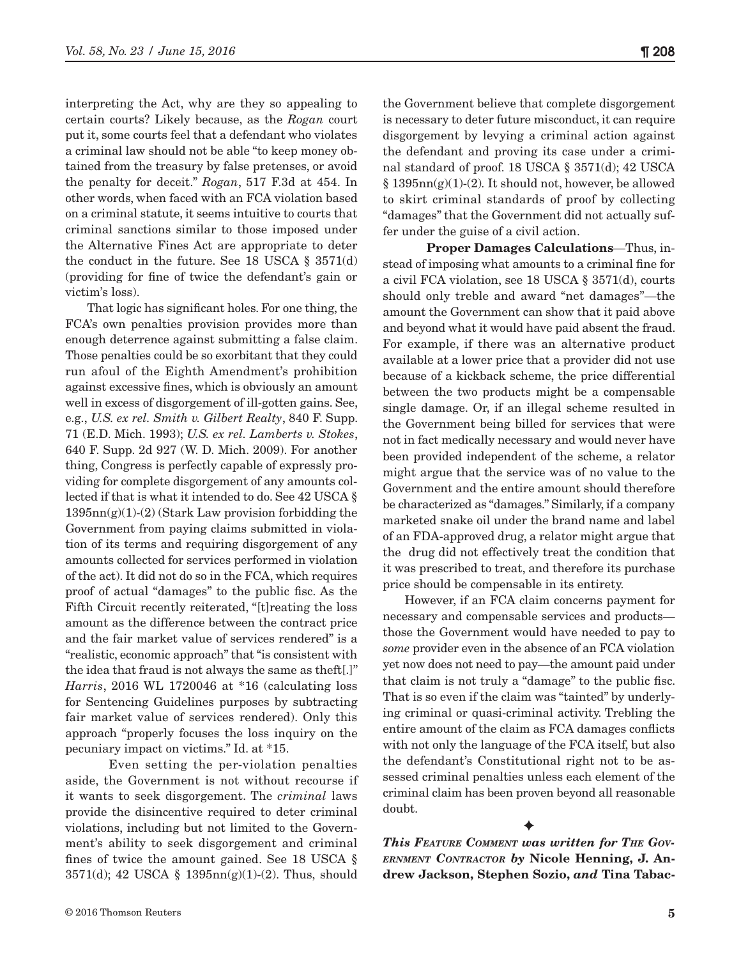interpreting the Act, why are they so appealing to certain courts? Likely because, as the *Rogan* court put it, some courts feel that a defendant who violates a criminal law should not be able "to keep money obtained from the treasury by false pretenses, or avoid the penalty for deceit." *Rogan*, 517 F.3d at 454. In other words, when faced with an FCA violation based on a criminal statute, it seems intuitive to courts that criminal sanctions similar to those imposed under the Alternative Fines Act are appropriate to deter the conduct in the future. See 18 USCA § 3571(d) (providing for fine of twice the defendant's gain or victim's loss).

That logic has significant holes. For one thing, the FCA's own penalties provision provides more than enough deterrence against submitting a false claim. Those penalties could be so exorbitant that they could run afoul of the Eighth Amendment's prohibition against excessive fines, which is obviously an amount well in excess of disgorgement of ill-gotten gains. See, e.g., *U.S. ex rel. Smith v. Gilbert Realty*, 840 F. Supp. 71 (E.D. Mich. 1993); *U.S. ex rel. Lamberts v. Stokes*, 640 F. Supp. 2d 927 (W. D. Mich. 2009). For another thing, Congress is perfectly capable of expressly providing for complete disgorgement of any amounts collected if that is what it intended to do. See 42 USCA §  $1395nn(g)(1)-(2)$  (Stark Law provision forbidding the Government from paying claims submitted in violation of its terms and requiring disgorgement of any amounts collected for services performed in violation of the act). It did not do so in the FCA, which requires proof of actual "damages" to the public fisc. As the Fifth Circuit recently reiterated, "[t] reating the loss amount as the difference between the contract price and the fair market value of services rendered" is a "realistic, economic approach" that "is consistent with the idea that fraud is not always the same as theft[.]" *Harris*, 2016 WL 1720046 at \*16 (calculating loss for Sentencing Guidelines purposes by subtracting fair market value of services rendered). Only this approach "properly focuses the loss inquiry on the pecuniary impact on victims." Id. at \*15.

Even setting the per-violation penalties aside, the Government is not without recourse if it wants to seek disgorgement. The *criminal* laws provide the disincentive required to deter criminal violations, including but not limited to the Government's ability to seek disgorgement and criminal fines of twice the amount gained. See 18 USCA §  $3571(d)$ ; 42 USCA §  $1395nn(g)(1)-(2)$ . Thus, should the Government believe that complete disgorgement is necessary to deter future misconduct, it can require disgorgement by levying a criminal action against the defendant and proving its case under a criminal standard of proof. 18 USCA § 3571(d); 42 USCA  $§ 1395nn(g)(1)-(2)$ . It should not, however, be allowed to skirt criminal standards of proof by collecting "damages" that the Government did not actually suffer under the guise of a civil action.

**Proper Damages Calculations**—Thus, instead of imposing what amounts to a criminal fine for a civil FCA violation, see 18 USCA § 3571(d), courts should only treble and award "net damages"—the amount the Government can show that it paid above and beyond what it would have paid absent the fraud. For example, if there was an alternative product available at a lower price that a provider did not use because of a kickback scheme, the price differential between the two products might be a compensable single damage. Or, if an illegal scheme resulted in the Government being billed for services that were not in fact medically necessary and would never have been provided independent of the scheme, a relator might argue that the service was of no value to the Government and the entire amount should therefore be characterized as "damages." Similarly, if a company marketed snake oil under the brand name and label of an FDA-approved drug, a relator might argue that the drug did not effectively treat the condition that it was prescribed to treat, and therefore its purchase price should be compensable in its entirety.

However, if an FCA claim concerns payment for necessary and compensable services and products those the Government would have needed to pay to *some* provider even in the absence of an FCA violation yet now does not need to pay—the amount paid under that claim is not truly a "damage" to the public fisc. That is so even if the claim was "tainted" by underlying criminal or quasi-criminal activity. Trebling the entire amount of the claim as FCA damages conflicts with not only the language of the FCA itself, but also the defendant's Constitutional right not to be assessed criminal penalties unless each element of the criminal claim has been proven beyond all reasonable doubt.

*This Feature Comment was written for The Government Contractor by* **Nicole Henning, J. Andrew Jackson, Stephen Sozio,** *and* **Tina Tabac-**

 $\blacklozenge$